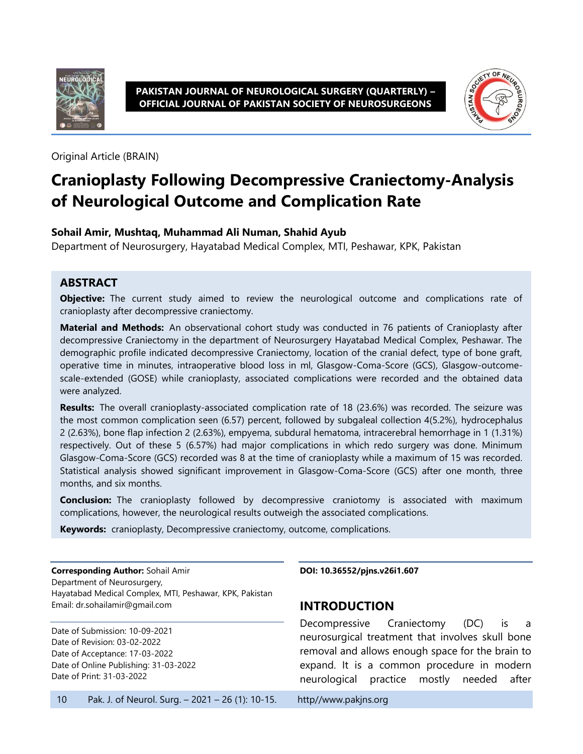

**PAKISTAN JOURNAL OF NEUROLOGICAL SURGERY (QUARTERLY) – OFFICIAL JOURNAL OF PAKISTAN SOCIETY OF NEUROSURGEONS**



Original Article (BRAIN)

# **Cranioplasty Following Decompressive Craniectomy-Analysis of Neurological Outcome and Complication Rate**

#### **Sohail Amir, Mushtaq, Muhammad Ali Numan, Shahid Ayub**

Department of Neurosurgery, Hayatabad Medical Complex, MTI, Peshawar, KPK, Pakistan

#### **ABSTRACT**

**Objective:** The current study aimed to review the neurological outcome and complications rate of cranioplasty after decompressive craniectomy.

**Material and Methods:** An observational cohort study was conducted in 76 patients of Cranioplasty after decompressive Craniectomy in the department of Neurosurgery Hayatabad Medical Complex, Peshawar. The demographic profile indicated decompressive Craniectomy, location of the cranial defect, type of bone graft, operative time in minutes, intraoperative blood loss in ml, Glasgow-Coma-Score (GCS), Glasgow-outcomescale-extended (GOSE) while cranioplasty, associated complications were recorded and the obtained data were analyzed.

**Results:** The overall cranioplasty-associated complication rate of 18 (23.6%) was recorded. The seizure was the most common complication seen (6.57) percent, followed by subgaleal collection 4(5.2%), hydrocephalus 2 (2.63%), bone flap infection 2 (2.63%), empyema, subdural hematoma, intracerebral hemorrhage in 1 (1.31%) respectively. Out of these 5 (6.57%) had major complications in which redo surgery was done. Minimum Glasgow-Coma-Score (GCS) recorded was 8 at the time of cranioplasty while a maximum of 15 was recorded. Statistical analysis showed significant improvement in Glasgow-Coma-Score (GCS) after one month, three months, and six months.

**Conclusion:** The cranioplasty followed by decompressive craniotomy is associated with maximum complications, however, the neurological results outweigh the associated complications.

**Keywords:** cranioplasty, Decompressive craniectomy, outcome, complications.

**Corresponding Author:** Sohail Amir Department of Neurosurgery, Hayatabad Medical Complex, MTI, Peshawar, KPK, Pakistan Email: dr.sohailamir@gmail.com

Date of Submission: 10-09-2021 Date of Revision: 03-02-2022 Date of Acceptance: 17-03-2022 Date of Online Publishing: 31-03-2022 Date of Print: 31-03-2022

#### **DOI: 10.36552/pjns.v26i1.607**

#### **INTRODUCTION**

Decompressive Craniectomy (DC) is a neurosurgical treatment that involves skull bone removal and allows enough space for the brain to expand. It is a common procedure in modern neurological practice mostly needed after

10 Pak. J. of Neurol. Surg. – 2021 – 26 (1): 10-15. http//www.pakjns.org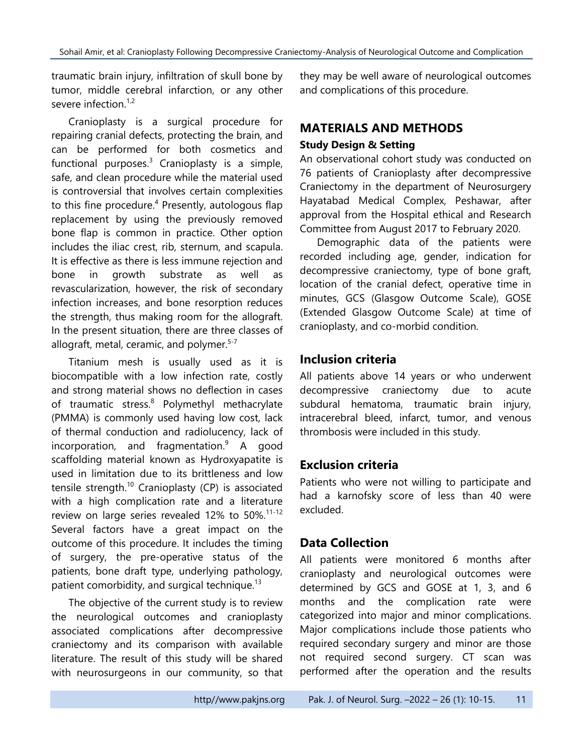traumatic brain injury, infiltration of skull bone by tumor, middle cerebral infarction, or any other severe infection.<sup>1,2</sup>

Cranioplasty is a surgical procedure for repairing cranial defects, protecting the brain, and can be performed for both cosmetics and functional purposes.<sup>3</sup> Cranioplasty is a simple, safe, and clean procedure while the material used is controversial that involves certain complexities to this fine procedure. <sup>4</sup> Presently, autologous flap replacement by using the previously removed bone flap is common in practice. Other option includes the iliac crest, rib, sternum, and scapula. It is effective as there is less immune rejection and bone in growth substrate as well as revascularization, however, the risk of secondary infection increases, and bone resorption reduces the strength, thus making room for the allograft. In the present situation, there are three classes of allograft, metal, ceramic, and polymer.<sup>5-7</sup>

Titanium mesh is usually used as it is biocompatible with a low infection rate, costly and strong material shows no deflection in cases of traumatic stress. <sup>8</sup> Polymethyl methacrylate (PMMA) is commonly used having low cost, lack of thermal conduction and radiolucency, lack of incorporation, and fragmentation. <sup>9</sup> A good scaffolding material known as Hydroxyapatite is used in limitation due to its brittleness and low tensile strength. <sup>10</sup> Cranioplasty (CP) is associated with a high complication rate and a literature review on large series revealed 12% to 50%.<sup>11-12</sup> Several factors have a great impact on the outcome of this procedure. It includes the timing of surgery, the pre-operative status of the patients, bone draft type, underlying pathology, patient comorbidity, and surgical technique.<sup>13</sup>

The objective of the current study is to review the neurological outcomes and cranioplasty associated complications after decompressive craniectomy and its comparison with available literature. The result of this study will be shared with neurosurgeons in our community, so that they may be well aware of neurological outcomes and complications of this procedure.

# **MATERIALS AND METHODS**

#### **Study Design & Setting**

An observational cohort study was conducted on 76 patients of Cranioplasty after decompressive Craniectomy in the department of Neurosurgery Hayatabad Medical Complex, Peshawar, after approval from the Hospital ethical and Research Committee from August 2017 to February 2020.

Demographic data of the patients were recorded including age, gender, indication for decompressive craniectomy, type of bone graft, location of the cranial defect, operative time in minutes, GCS (Glasgow Outcome Scale), GOSE (Extended Glasgow Outcome Scale) at time of cranioplasty, and co-morbid condition.

#### **Inclusion criteria**

All patients above 14 years or who underwent decompressive craniectomy due to acute subdural hematoma, traumatic brain injury, intracerebral bleed, infarct, tumor, and venous thrombosis were included in this study.

# **Exclusion criteria**

Patients who were not willing to participate and had a karnofsky score of less than 40 were excluded.

# **Data Collection**

All patients were monitored 6 months after cranioplasty and neurological outcomes were determined by GCS and GOSE at 1, 3, and 6 months and the complication rate were categorized into major and minor complications. Major complications include those patients who required secondary surgery and minor are those not required second surgery. CT scan was performed after the operation and the results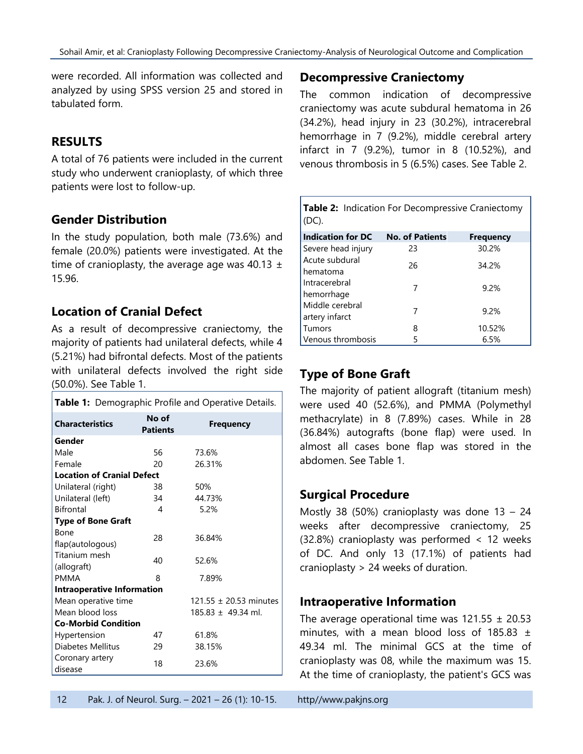were recorded. All information was collected and analyzed by using SPSS version 25 and stored in tabulated form.

# **RESULTS**

A total of 76 patients were included in the current study who underwent cranioplasty, of which three patients were lost to follow-up.

# **Gender Distribution**

In the study population, both male (73.6%) and female (20.0%) patients were investigated. At the time of cranioplasty, the average age was 40.13  $\pm$ 15.96.

# **Location of Cranial Defect**

As a result of decompressive craniectomy, the majority of patients had unilateral defects, while 4 (5.21%) had bifrontal defects. Most of the patients with unilateral defects involved the right side (50.0%). See Table 1.

| <b>Table 1:</b> Demographic Profile and Operative Details. |                          |                          |  |  |  |
|------------------------------------------------------------|--------------------------|--------------------------|--|--|--|
| <b>Characteristics</b>                                     | No of<br><b>Patients</b> | <b>Frequency</b>         |  |  |  |
| Gender                                                     |                          |                          |  |  |  |
| Male                                                       | 56                       | 73.6%                    |  |  |  |
| Female                                                     | 20                       | 26.31%                   |  |  |  |
| <b>Location of Cranial Defect</b>                          |                          |                          |  |  |  |
| Unilateral (right)                                         | 38                       | 50%                      |  |  |  |
| Unilateral (left)                                          | 34                       | 44.73%                   |  |  |  |
| <b>Bifrontal</b>                                           | 4                        | 5.2%                     |  |  |  |
| <b>Type of Bone Graft</b>                                  |                          |                          |  |  |  |
| Bone                                                       | 28                       | 36.84%                   |  |  |  |
| flap(autologous)                                           |                          |                          |  |  |  |
| Titanium mesh                                              | 40                       | 52.6%                    |  |  |  |
| (allograft)                                                |                          |                          |  |  |  |
| <b>PMMA</b>                                                | 8                        | 7.89%                    |  |  |  |
| <b>Intraoperative Information</b>                          |                          |                          |  |  |  |
| Mean operative time                                        |                          | $121.55 + 20.53$ minutes |  |  |  |
| Mean blood loss                                            |                          | $185.83 \pm 49.34$ ml.   |  |  |  |
| <b>Co-Morbid Condition</b>                                 |                          |                          |  |  |  |
| Hypertension                                               | 47                       | 61.8%                    |  |  |  |
| Diabetes Mellitus                                          | 29                       | 38.15%                   |  |  |  |
| Coronary artery<br>disease                                 | 18                       | 23.6%                    |  |  |  |

# **Decompressive Craniectomy**

The common indication of decompressive craniectomy was acute subdural hematoma in 26 (34.2%), head injury in 23 (30.2%), intracerebral hemorrhage in 7 (9.2%), middle cerebral artery infarct in 7 (9.2%), tumor in 8 (10.52%), and venous thrombosis in 5 (6.5%) cases. See Table 2.

| <b>Table 2:</b> Indication For Decompressive Craniectomy<br>(DC). |                        |                  |  |  |
|-------------------------------------------------------------------|------------------------|------------------|--|--|
| <b>Indication for DC</b>                                          | <b>No. of Patients</b> | <b>Frequency</b> |  |  |
| Severe head injury                                                | 23                     | 30.2%            |  |  |
| Acute subdural<br>hematoma                                        | 26                     | 34.2%            |  |  |
| Intracerebral<br>hemorrhage                                       |                        | 9.2%             |  |  |
| Middle cerebral<br>artery infarct                                 |                        | 9.2%             |  |  |
| Tumors                                                            | 8                      | 10.52%           |  |  |
| Venous thrombosis                                                 |                        | 6.5%             |  |  |

# **Type of Bone Graft**

The majority of patient allograft (titanium mesh) were used 40 (52.6%), and PMMA (Polymethyl methacrylate) in 8 (7.89%) cases. While in 28 (36.84%) autografts (bone flap) were used. In almost all cases bone flap was stored in the abdomen. See Table 1.

# **Surgical Procedure**

Mostly 38 (50%) cranioplasty was done 13 – 24 weeks after decompressive craniectomy, 25 (32.8%) cranioplasty was performed < 12 weeks of DC. And only 13 (17.1%) of patients had cranioplasty > 24 weeks of duration.

#### **Intraoperative Information**

The average operational time was  $121.55 \pm 20.53$ minutes, with a mean blood loss of 185.83  $\pm$ 49.34 ml. The minimal GCS at the time of cranioplasty was 08, while the maximum was 15. At the time of cranioplasty, the patient's GCS was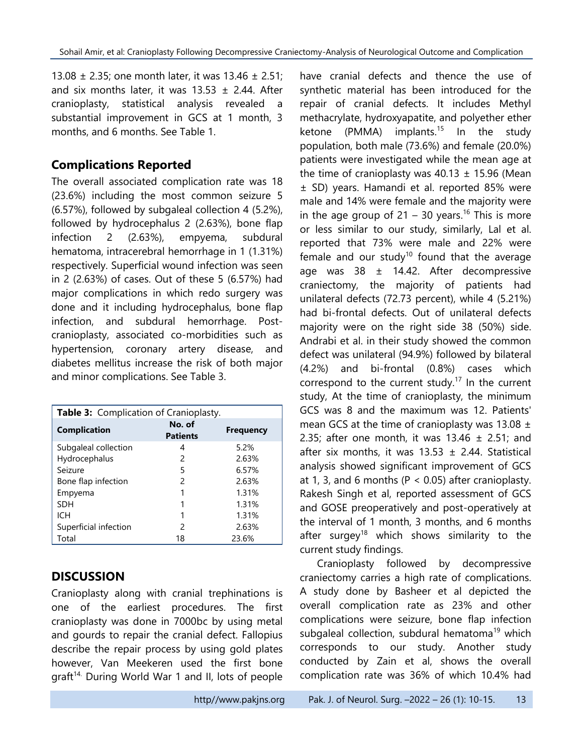13.08  $\pm$  2.35; one month later, it was 13.46  $\pm$  2.51; and six months later, it was  $13.53 \pm 2.44$ . After cranioplasty, statistical analysis revealed a substantial improvement in GCS at 1 month, 3 months, and 6 months. See Table 1.

# **Complications Reported**

The overall associated complication rate was 18 (23.6%) including the most common seizure 5 (6.57%), followed by subgaleal collection 4 (5.2%), followed by hydrocephalus 2 (2.63%), bone flap infection 2 (2.63%), empyema, subdural hematoma, intracerebral hemorrhage in 1 (1.31%) respectively. Superficial wound infection was seen in 2 (2.63%) of cases. Out of these 5 (6.57%) had major complications in which redo surgery was done and it including hydrocephalus, bone flap infection, and subdural hemorrhage. Postcranioplasty, associated co-morbidities such as hypertension, coronary artery disease, and diabetes mellitus increase the risk of both major and minor complications. See Table 3.

| <b>Table 3:</b> Complication of Cranioplasty. |                           |                  |  |  |
|-----------------------------------------------|---------------------------|------------------|--|--|
| <b>Complication</b>                           | No. of<br><b>Patients</b> | <b>Frequency</b> |  |  |
| Subgaleal collection                          | 4                         | 5.2%             |  |  |
| Hydrocephalus                                 | $\mathcal{P}$             | 2.63%            |  |  |
| Seizure                                       | 5                         | 6.57%            |  |  |
| Bone flap infection                           | 2                         | 2.63%            |  |  |
| Empyema                                       |                           | 1.31%            |  |  |
| <b>SDH</b>                                    |                           | 1.31%            |  |  |
| ICH                                           |                           | 1.31%            |  |  |
| Superficial infection                         | $\mathcal{P}$             | 2.63%            |  |  |
| Total                                         | 18                        | 23.6%            |  |  |

# **DISCUSSION**

Cranioplasty along with cranial trephinations is one of the earliest procedures. The first cranioplasty was done in 7000bc by using metal and gourds to repair the cranial defect. Fallopius describe the repair process by using gold plates however, Van Meekeren used the first bone graft<sup>14.</sup> During World War 1 and II, lots of people

have cranial defects and thence the use of synthetic material has been introduced for the repair of cranial defects. It includes Methyl methacrylate, hydroxyapatite, and polyether ether ketone (PMMA) implants.<sup>15</sup> In the study population, both male (73.6%) and female (20.0%) patients were investigated while the mean age at the time of cranioplasty was  $40.13 \pm 15.96$  (Mean ± SD) years. Hamandi et al. reported 85% were male and 14% were female and the majority were in the age group of  $21 - 30$  years.<sup>16</sup> This is more or less similar to our study, similarly, Lal et al. reported that 73% were male and 22% were female and our study<sup>10</sup> found that the average age was  $38 \pm 14.42$ . After decompressive craniectomy, the majority of patients had unilateral defects (72.73 percent), while 4 (5.21%) had bi-frontal defects. Out of unilateral defects majority were on the right side 38 (50%) side. Andrabi et al. in their study showed the common defect was unilateral (94.9%) followed by bilateral (4.2%) and bi-frontal (0.8%) cases which correspond to the current study.<sup>17</sup> In the current study, At the time of cranioplasty, the minimum GCS was 8 and the maximum was 12. Patients' mean GCS at the time of cranioplasty was 13.08  $\pm$ 2.35; after one month, it was  $13.46 \pm 2.51$ ; and after six months, it was  $13.53 \pm 2.44$ . Statistical analysis showed significant improvement of GCS at 1, 3, and 6 months ( $P < 0.05$ ) after cranioplasty. Rakesh Singh et al, reported assessment of GCS and GOSE preoperatively and post-operatively at the interval of 1 month, 3 months, and 6 months after surgey<sup>18</sup> which shows similarity to the current study findings.

Cranioplasty followed by decompressive craniectomy carries a high rate of complications. A study done by Basheer et al depicted the overall complication rate as 23% and other complications were seizure, bone flap infection subgaleal collection, subdural hematoma<sup>19</sup> which corresponds to our study. Another study conducted by Zain et al, shows the overall complication rate was 36% of which 10.4% had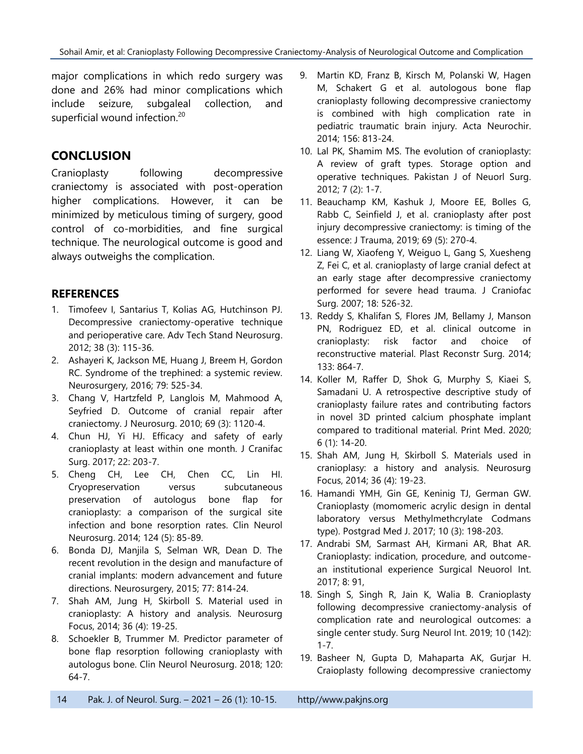major complications in which redo surgery was done and 26% had minor complications which include seizure, subgaleal collection, and superficial wound infection.<sup>20</sup>

#### **CONCLUSION**

Cranioplasty following decompressive craniectomy is associated with post-operation higher complications. However, it can be minimized by meticulous timing of surgery, good control of co-morbidities, and fine surgical technique. The neurological outcome is good and always outweighs the complication.

#### **REFERENCES**

- 1. Timofeev I, Santarius T, Kolias AG, Hutchinson PJ. Decompressive craniectomy-operative technique and perioperative care. Adv Tech Stand Neurosurg. 2012; 38 (3): 115-36.
- 2. Ashayeri K, Jackson ME, Huang J, Breem H, Gordon RC. Syndrome of the trephined: a systemic review. Neurosurgery, 2016; 79: 525-34.
- 3. Chang V, Hartzfeld P, Langlois M, Mahmood A, Seyfried D. Outcome of cranial repair after craniectomy. J Neurosurg. 2010; 69 (3): 1120-4.
- 4. Chun HJ, Yi HJ. Efficacy and safety of early cranioplasty at least within one month. J Cranifac Surg. 2017; 22: 203-7.
- 5. Cheng CH, Lee CH, Chen CC, Lin HI. Cryopreservation versus subcutaneous preservation of autologus bone flap for cranioplasty: a comparison of the surgical site infection and bone resorption rates. Clin Neurol Neurosurg. 2014; 124 (5): 85-89.
- 6. Bonda DJ, Manjila S, Selman WR, Dean D. The recent revolution in the design and manufacture of cranial implants: modern advancement and future directions. Neurosurgery, 2015; 77: 814-24.
- 7. Shah AM, Jung H, Skirboll S. Material used in cranioplasty: A history and analysis. Neurosurg Focus, 2014; 36 (4): 19-25.
- 8. Schoekler B, Trummer M. Predictor parameter of bone flap resorption following cranioplasty with autologus bone. Clin Neurol Neurosurg. 2018; 120: 64-7.
- 9. Martin KD, Franz B, Kirsch M, Polanski W, Hagen M, Schakert G et al. autologous bone flap cranioplasty following decompressive craniectomy is combined with high complication rate in pediatric traumatic brain injury. Acta Neurochir. 2014; 156: 813-24.
- 10. Lal PK, Shamim MS. The evolution of cranioplasty: A review of graft types. Storage option and operative techniques. Pakistan J of Neuorl Surg. 2012; 7 (2): 1-7.
- 11. Beauchamp KM, Kashuk J, Moore EE, Bolles G, Rabb C, Seinfield J, et al. cranioplasty after post injury decompressive craniectomy: is timing of the essence: J Trauma, 2019; 69 (5): 270-4.
- 12. Liang W, Xiaofeng Y, Weiguo L, Gang S, Xuesheng Z, Fei C, et al. cranioplasty of large cranial defect at an early stage after decompressive craniectomy performed for severe head trauma. J Craniofac Surg. 2007; 18: 526-32.
- 13. Reddy S, Khalifan S, Flores JM, Bellamy J, Manson PN, Rodriguez ED, et al. clinical outcome in cranioplasty: risk factor and choice of reconstructive material. Plast Reconstr Surg. 2014; 133: 864-7.
- 14. Koller M, Raffer D, Shok G, Murphy S, Kiaei S, Samadani U. A retrospective descriptive study of cranioplasty failure rates and contributing factors in novel 3D printed calcium phosphate implant compared to traditional material. Print Med. 2020; 6 (1): 14-20.
- 15. Shah AM, Jung H, Skirboll S. Materials used in cranioplasy: a history and analysis. Neurosurg Focus, 2014; 36 (4): 19-23.
- 16. Hamandi YMH, Gin GE, Keninig TJ, German GW. Cranioplasty (momomeric acrylic design in dental laboratory versus Methylmethcrylate Codmans type). Postgrad Med J. 2017; 10 (3): 198-203.
- 17. Andrabi SM, Sarmast AH, Kirmani AR, Bhat AR. Cranioplasty: indication, procedure, and outcomean institutional experience Surgical Neuorol Int. 2017; 8: 91,
- 18. Singh S, Singh R, Jain K, Walia B. Cranioplasty following decompressive craniectomy-analysis of complication rate and neurological outcomes: a single center study. Surg Neurol Int. 2019; 10 (142): 1-7.
- 19. Basheer N, Gupta D, Mahaparta AK, Gurjar H. Craioplasty following decompressive craniectomy